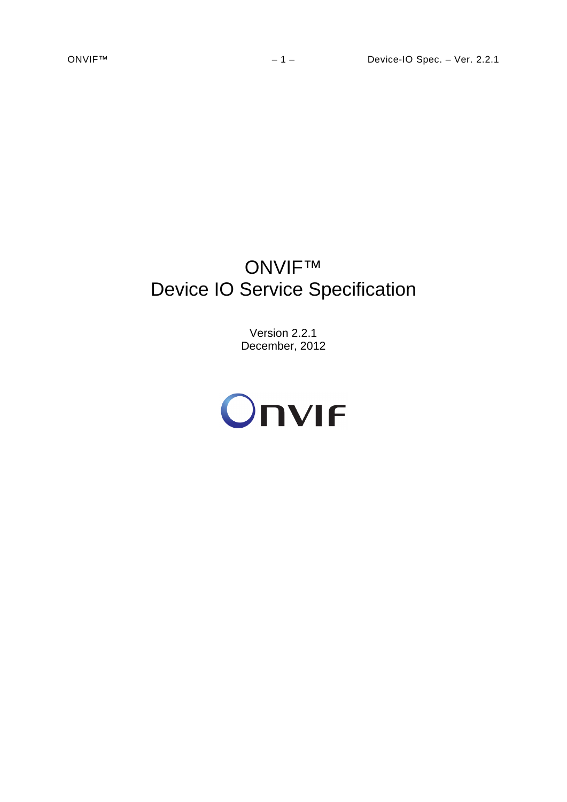# ONVIF™ Device IO Service Specification

Version 2.2.1 December, 2012

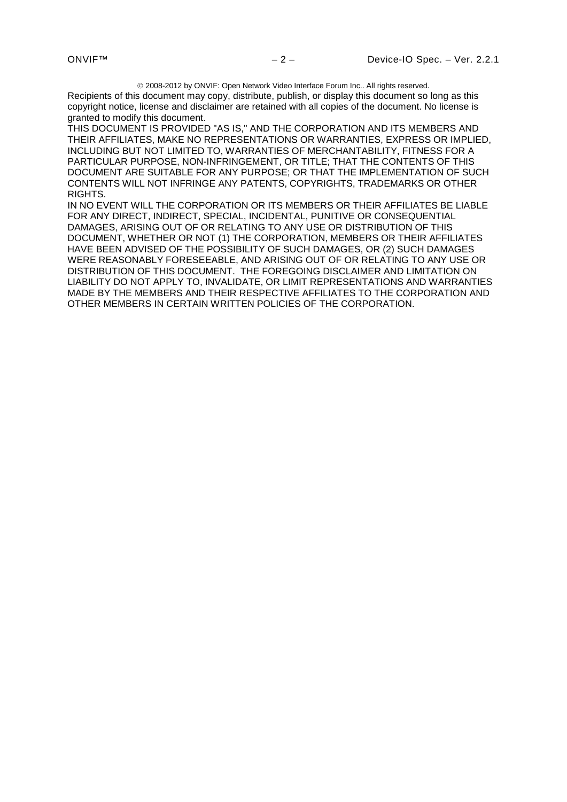2008-2012 by ONVIF: Open Network Video Interface Forum Inc.. All rights reserved.

Recipients of this document may copy, distribute, publish, or display this document so long as this copyright notice, license and disclaimer are retained with all copies of the document. No license is granted to modify this document.

THIS DOCUMENT IS PROVIDED "AS IS," AND THE CORPORATION AND ITS MEMBERS AND THEIR AFFILIATES, MAKE NO REPRESENTATIONS OR WARRANTIES, EXPRESS OR IMPLIED, INCLUDING BUT NOT LIMITED TO, WARRANTIES OF MERCHANTABILITY, FITNESS FOR A PARTICULAR PURPOSE, NON-INFRINGEMENT, OR TITLE; THAT THE CONTENTS OF THIS DOCUMENT ARE SUITABLE FOR ANY PURPOSE; OR THAT THE IMPLEMENTATION OF SUCH CONTENTS WILL NOT INFRINGE ANY PATENTS, COPYRIGHTS, TRADEMARKS OR OTHER RIGHTS.

IN NO EVENT WILL THE CORPORATION OR ITS MEMBERS OR THEIR AFFILIATES BE LIABLE FOR ANY DIRECT, INDIRECT, SPECIAL, INCIDENTAL, PUNITIVE OR CONSEQUENTIAL DAMAGES, ARISING OUT OF OR RELATING TO ANY USE OR DISTRIBUTION OF THIS DOCUMENT, WHETHER OR NOT (1) THE CORPORATION, MEMBERS OR THEIR AFFILIATES HAVE BEEN ADVISED OF THE POSSIBILITY OF SUCH DAMAGES, OR (2) SUCH DAMAGES WERE REASONABLY FORESEEABLE, AND ARISING OUT OF OR RELATING TO ANY USE OR DISTRIBUTION OF THIS DOCUMENT. THE FOREGOING DISCLAIMER AND LIMITATION ON LIABILITY DO NOT APPLY TO, INVALIDATE, OR LIMIT REPRESENTATIONS AND WARRANTIES MADE BY THE MEMBERS AND THEIR RESPECTIVE AFFILIATES TO THE CORPORATION AND OTHER MEMBERS IN CERTAIN WRITTEN POLICIES OF THE CORPORATION.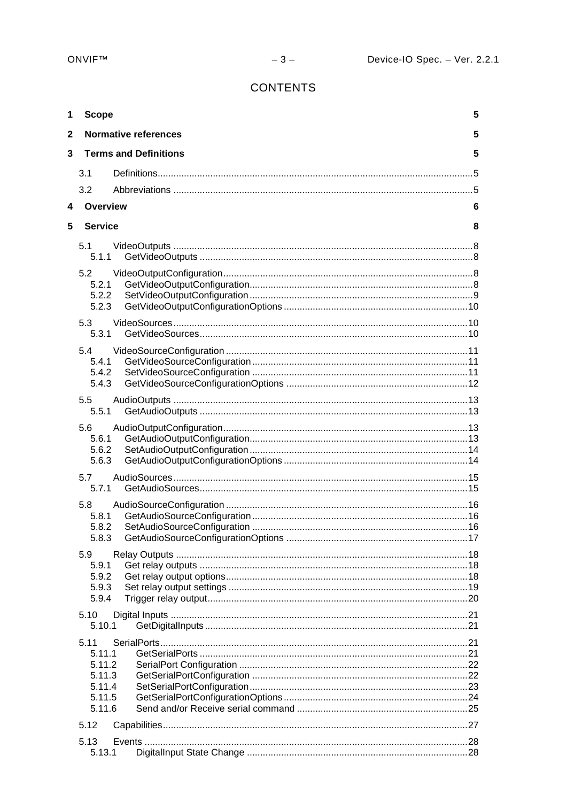# **CONTENTS**

| 1            | <b>Scope</b>                                                     |                              | 5 |
|--------------|------------------------------------------------------------------|------------------------------|---|
| $\mathbf{2}$ |                                                                  | <b>Normative references</b>  | 5 |
| 3            |                                                                  | <b>Terms and Definitions</b> | 5 |
|              | 3.1                                                              |                              |   |
|              | 3.2                                                              |                              |   |
| 4            | Overview                                                         |                              | 6 |
| 5            | <b>Service</b>                                                   |                              | 8 |
|              | 5.1<br>5.1.1                                                     |                              |   |
|              | 5.2<br>5.2.1<br>5.2.2<br>5.2.3                                   |                              |   |
|              | 5.3                                                              |                              |   |
|              | 5.3.1<br>5.4<br>5.4.1<br>5.4.2<br>5.4.3                          |                              |   |
|              | 5.5<br>5.5.1                                                     |                              |   |
|              | 5.6<br>5.6.1<br>5.6.2<br>5.6.3                                   |                              |   |
|              | 5.7<br>5.7.1                                                     |                              |   |
|              | 5.8<br>5.8.1<br>5.8.2<br>5.8.3                                   |                              |   |
|              | 5.9<br>5.9.1<br>5.9.2<br>5.9.3<br>5.9.4                          |                              |   |
|              | 5.10<br>5.10.1                                                   |                              |   |
|              | 5.11<br>5.11.1<br>5.11.2<br>5.11.3<br>5.11.4<br>5.11.5<br>5.11.6 |                              |   |
|              | 5.12                                                             |                              |   |
|              | 5.13<br>5.13.1                                                   |                              |   |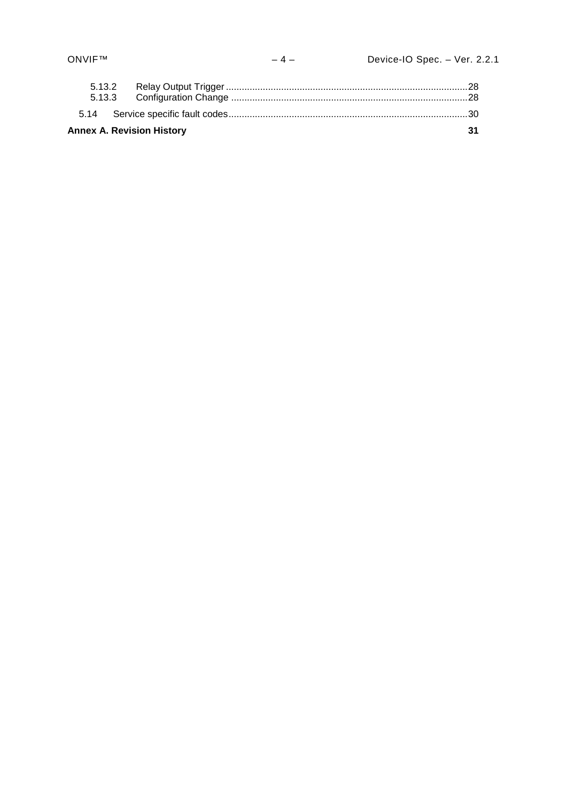| <b>Annex A. Revision History</b> | 31 |
|----------------------------------|----|
|                                  |    |
|                                  |    |
|                                  |    |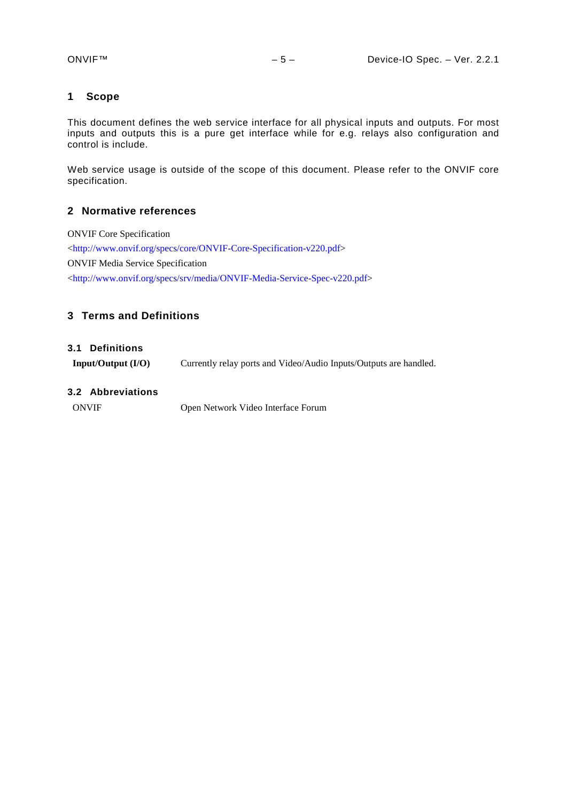## <span id="page-4-0"></span>**1 Scope**

This document defines the web service interface for all physical inputs and outputs. For most inputs and outputs this is a pure get interface while for e.g. relays also configuration and control is include.

Web service usage is outside of the scope of this document. Please refer to the ONVIF core specification.

#### <span id="page-4-1"></span>**2 Normative references**

ONVIF Core Specification [<http://www.onvif.org/specs/core/ONVIF-Core-Specification-v220.pdf>](http://www.onvif.org/specs/core/ONVIF-Core-Specification-v211.pdf) ONVIF Media Service Specification [<http://www.onvif.org/specs/srv/media/ONVIF-Media-Service-Spec-v220.pdf>](http://www.onvif.org/specs/srv/media/ONVIF-Media-Service-Spec-v211.pdf)

## <span id="page-4-2"></span>**3 Terms and Definitions**

#### <span id="page-4-3"></span>**3.1 Definitions**

**Input/Output (I/O)** Currently relay ports and Video/Audio Inputs/Outputs are handled.

## <span id="page-4-4"></span>**3.2 Abbreviations**

ONVIF Open Network Video Interface Forum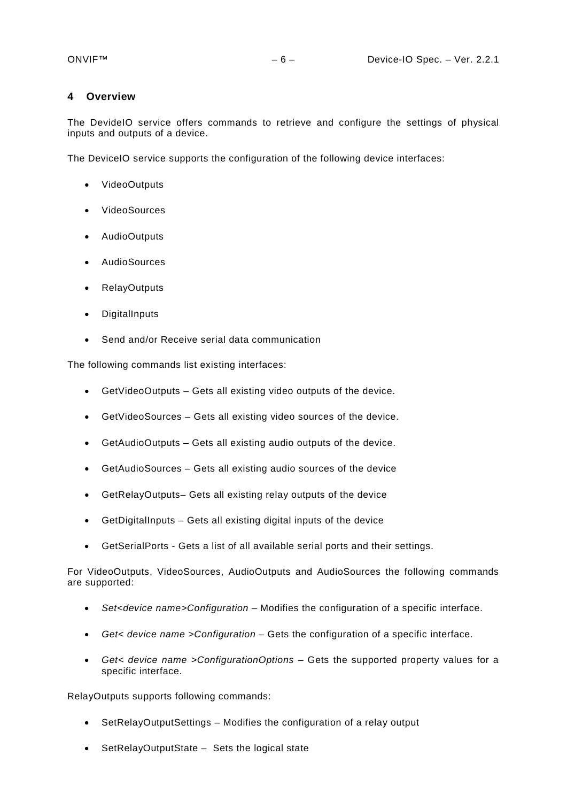#### <span id="page-5-0"></span>**4 Overview**

The DevideIO service offers commands to retrieve and configure the settings of physical inputs and outputs of a device.

The DeviceIO service supports the configuration of the following device interfaces:

- VideoOutputs
- VideoSources
- AudioOutputs
- AudioSources
- RelayOutputs
- **DigitalInputs**
- Send and/or Receive serial data communication

The following commands list existing interfaces:

- GetVideoOutputs Gets all existing video outputs of the device.
- GetVideoSources Gets all existing video sources of the device.
- GetAudioOutputs Gets all existing audio outputs of the device.
- GetAudioSources Gets all existing audio sources of the device
- GetRelayOutputs– Gets all existing relay outputs of the device
- GetDigitalInputs Gets all existing digital inputs of the device
- GetSerialPorts Gets a list of all available serial ports and their settings.

For VideoOutputs, VideoSources, AudioOutputs and AudioSources the following commands are supported:

- *Set<device name>Configuration* Modifies the configuration of a specific interface.
- *Get< device name >Configuration* Gets the configuration of a specific interface.
- *Get< device name >ConfigurationOptions* Gets the supported property values for a specific interface.

RelayOutputs supports following commands:

- SetRelayOutputSettings Modifies the configuration of a relay output
- SetRelayOutputState Sets the logical state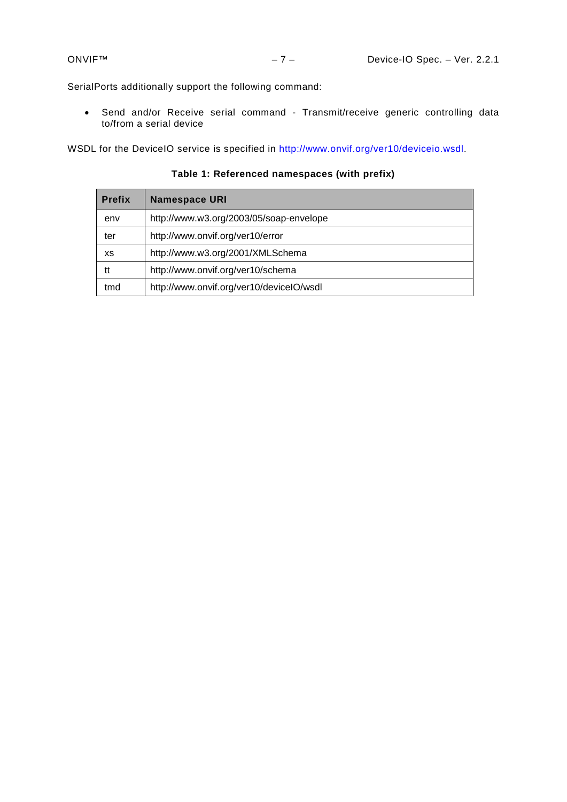SerialPorts additionally support the following command:

• Send and/or Receive serial command - Transmit/receive generic controlling data to/from a serial device

WSDL for the DeviceIO service is specified in [http://www.onvif.org/ver10/deviceio.wsdl.](http://www.onvif.org/ver10/deviceio.wsdl)

**Table 1: Referenced namespaces (with prefix)**

| <b>Prefix</b> | <b>Namespace URI</b>                     |  |
|---------------|------------------------------------------|--|
| env           | http://www.w3.org/2003/05/soap-envelope  |  |
| ter           | http://www.onvif.org/ver10/error         |  |
| <b>XS</b>     | http://www.w3.org/2001/XMLSchema         |  |
| tt            | http://www.onvif.org/ver10/schema        |  |
| tmd           | http://www.onvif.org/ver10/deviceIO/wsdl |  |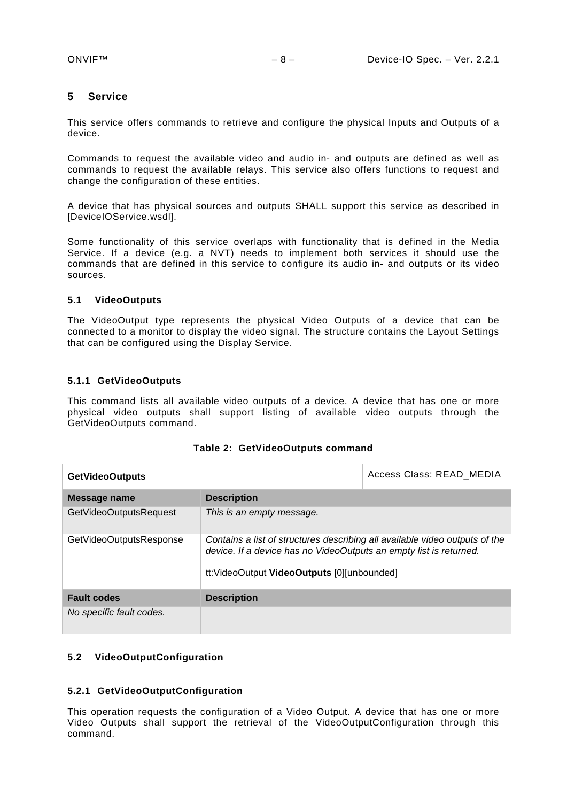## <span id="page-7-0"></span>**5 Service**

This service offers commands to retrieve and configure the physical Inputs and Outputs of a device.

Commands to request the available video and audio in- and outputs are defined as well as commands to request the available relays. This service also offers functions to request and change the configuration of these entities.

A device that has physical sources and outputs SHALL support this service as described in [DeviceIOService.wsdl].

Some functionality of this service overlaps with functionality that is defined in the Media Service. If a device (e.g. a NVT) needs to implement both services it should use the commands that are defined in this service to configure its audio in- and outputs or its video sources.

## <span id="page-7-1"></span>**5.1 VideoOutputs**

The VideoOutput type represents the physical Video Outputs of a device that can be connected to a monitor to display the video signal. The structure contains the Layout Settings that can be configured using the Display Service.

## <span id="page-7-2"></span>**5.1.1 GetVideoOutputs**

This command lists all available video outputs of a device. A device that has one or more physical video outputs shall support listing of available video outputs through the GetVideoOutputs command.

| <b>GetVideoOutputs</b>   |                                                                                                                                                                                                  | Access Class: READ MEDIA |
|--------------------------|--------------------------------------------------------------------------------------------------------------------------------------------------------------------------------------------------|--------------------------|
| Message name             | <b>Description</b>                                                                                                                                                                               |                          |
| GetVideoOutputsRequest   | This is an empty message.                                                                                                                                                                        |                          |
| GetVideoOutputsResponse  | Contains a list of structures describing all available video outputs of the<br>device. If a device has no VideoOutputs an empty list is returned.<br>tt: VideoOutput VideoOutputs [0][unbounded] |                          |
| <b>Fault codes</b>       | <b>Description</b>                                                                                                                                                                               |                          |
| No specific fault codes. |                                                                                                                                                                                                  |                          |

## <span id="page-7-3"></span>**5.2 VideoOutputConfiguration**

## <span id="page-7-4"></span>**5.2.1 GetVideoOutputConfiguration**

This operation requests the configuration of a Video Output. A device that has one or more Video Outputs shall support the retrieval of the VideoOutputConfiguration through this command.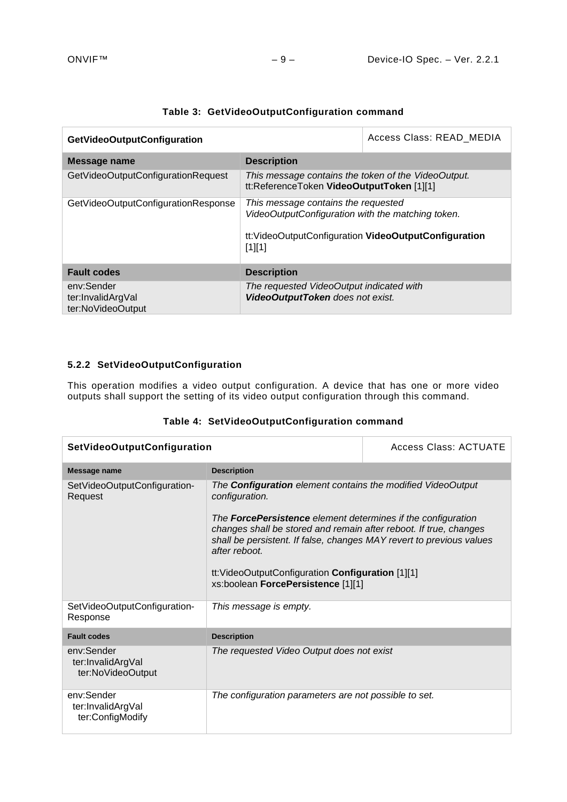| GetVideoOutputConfiguration                          |                                                                                                                                                             | Access Class: READ MEDIA |
|------------------------------------------------------|-------------------------------------------------------------------------------------------------------------------------------------------------------------|--------------------------|
| Message name                                         | <b>Description</b>                                                                                                                                          |                          |
| GetVideoOutputConfigurationRequest                   | This message contains the token of the VideoOutput.<br>tt:ReferenceToken VideoOutputToken [1][1]                                                            |                          |
| GetVideoOutputConfigurationResponse                  | This message contains the requested<br>VideoOutputConfiguration with the matching token.<br>tt: VideoOutputConfiguration VideoOutputConfiguration<br>[1][1] |                          |
| <b>Fault codes</b>                                   | <b>Description</b>                                                                                                                                          |                          |
| env:Sender<br>ter:InvalidArgVal<br>ter:NoVideoOutput | The requested VideoOutput indicated with<br>VideoOutputToken does not exist.                                                                                |                          |

# **Table 3: GetVideoOutputConfiguration command**

## <span id="page-8-0"></span>**5.2.2 SetVideoOutputConfiguration**

This operation modifies a video output configuration. A device that has one or more video outputs shall support the setting of its video output configuration through this command.

|  | Table 4: SetVideoOutputConfiguration command |  |
|--|----------------------------------------------|--|
|--|----------------------------------------------|--|

| <b>SetVideoOutputConfiguration</b>                   | Access Class: ACTUATE                                                                                                                                                                                                                                                                                                                                                                                                |  |
|------------------------------------------------------|----------------------------------------------------------------------------------------------------------------------------------------------------------------------------------------------------------------------------------------------------------------------------------------------------------------------------------------------------------------------------------------------------------------------|--|
| Message name                                         | <b>Description</b>                                                                                                                                                                                                                                                                                                                                                                                                   |  |
| SetVideoOutputConfiguration-<br>Request              | The <b>Configuration</b> element contains the modified VideoOutput<br>configuration.<br>The <b>ForcePersistence</b> element determines if the configuration<br>changes shall be stored and remain after reboot. If true, changes<br>shall be persistent. If false, changes MAY revert to previous values<br>after reboot.<br>tt: VideoOutputConfiguration Configuration [1][1]<br>xs:boolean ForcePersistence [1][1] |  |
| SetVideoOutputConfiguration-<br>Response             | This message is empty.                                                                                                                                                                                                                                                                                                                                                                                               |  |
| <b>Fault codes</b>                                   | <b>Description</b>                                                                                                                                                                                                                                                                                                                                                                                                   |  |
| env:Sender<br>ter:InvalidArgVal<br>ter:NoVideoOutput | The requested Video Output does not exist                                                                                                                                                                                                                                                                                                                                                                            |  |
| env:Sender<br>ter:InvalidArgVal<br>ter:ConfigModify  | The configuration parameters are not possible to set.                                                                                                                                                                                                                                                                                                                                                                |  |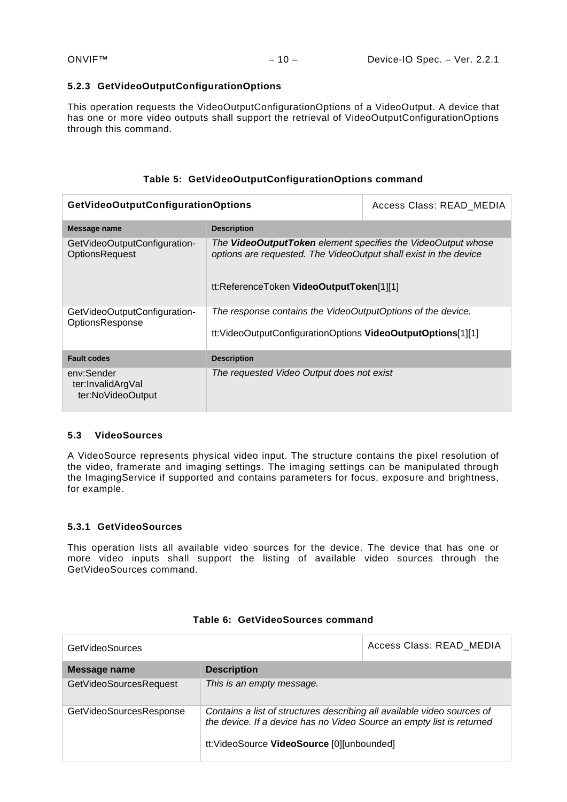#### <span id="page-9-0"></span>**5.2.3 GetVideoOutputConfigurationOptions**

This operation requests the VideoOutputConfigurationOptions of a VideoOutput. A device that has one or more video outputs shall support the retrieval of VideoOutputConfigurationOptions through this command.

## **Table 5: GetVideoOutputConfigurationOptions command**

| <b>GetVideoOutputConfigurationOptions</b>                                                         | Access Class: READ MEDIA                                                                                                                                                            |  |
|---------------------------------------------------------------------------------------------------|-------------------------------------------------------------------------------------------------------------------------------------------------------------------------------------|--|
| Message name                                                                                      | <b>Description</b>                                                                                                                                                                  |  |
| GetVideoOutputConfiguration-<br><b>OptionsRequest</b>                                             | The <b>VideoOutputToken</b> element specifies the VideoOutput whose<br>options are requested. The VideoOutput shall exist in the device<br>tt:ReferenceToken VideoOutputToken[1][1] |  |
| GetVideoOutputConfiguration-<br>OptionsResponse                                                   | The response contains the VideoOutputOptions of the device.<br>tt: VideoOutputConfigurationOptions VideoOutputOptions[1][1]                                                         |  |
| <b>Fault codes</b>                                                                                | <b>Description</b>                                                                                                                                                                  |  |
| env:Sender<br>The requested Video Output does not exist<br>ter:InvalidArgVal<br>ter:NoVideoOutput |                                                                                                                                                                                     |  |

#### <span id="page-9-1"></span>**5.3 VideoSources**

A VideoSource represents physical video input. The structure contains the pixel resolution of the video, framerate and imaging settings. The imaging settings can be manipulated through the ImagingService if supported and contains parameters for focus, exposure and brightness, for example.

#### <span id="page-9-2"></span>**5.3.1 GetVideoSources**

This operation lists all available video sources for the device. The device that has one or more video inputs shall support the listing of available video sources through the GetVideoSources command.

| <b>GetVideoSources</b>  |                                                                                                                                                                                               | Access Class: READ MEDIA |
|-------------------------|-----------------------------------------------------------------------------------------------------------------------------------------------------------------------------------------------|--------------------------|
| Message name            | <b>Description</b>                                                                                                                                                                            |                          |
| GetVideoSourcesRequest  | This is an empty message.                                                                                                                                                                     |                          |
| GetVideoSourcesResponse | Contains a list of structures describing all available video sources of<br>the device. If a device has no Video Source an empty list is returned<br>tt:VideoSource VideoSource [0][unbounded] |                          |

## **Table 6: GetVideoSources command**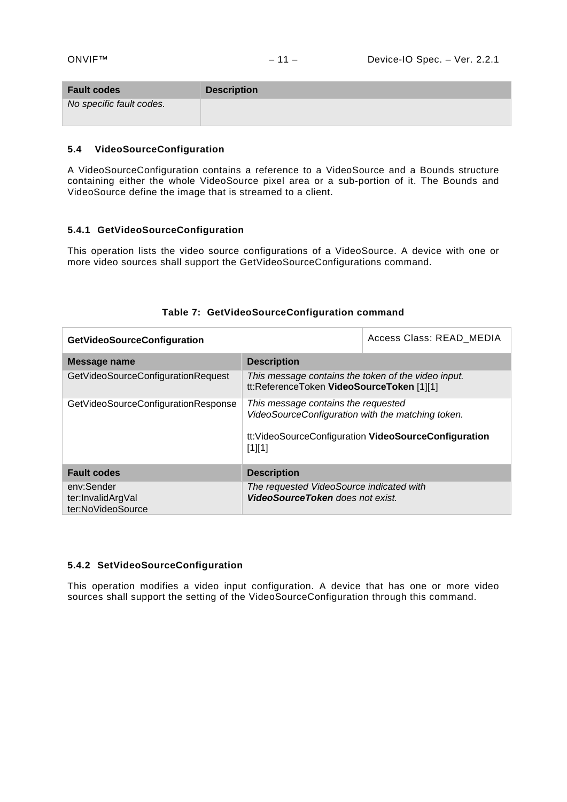| <b>Fault codes</b>       | <b>Description</b> |
|--------------------------|--------------------|
| No specific fault codes. |                    |

#### <span id="page-10-0"></span>**5.4 VideoSourceConfiguration**

A VideoSourceConfiguration contains a reference to a VideoSource and a Bounds structure containing either the whole VideoSource pixel area or a sub-portion of it. The Bounds and VideoSource define the image that is streamed to a client.

#### <span id="page-10-1"></span>**5.4.1 GetVideoSourceConfiguration**

This operation lists the video source configurations of a VideoSource. A device with one or more video sources shall support the GetVideoSourceConfigurations command.

| <b>GetVideoSourceConfiguration</b>                   |                                                                                                                                                               | Access Class: READ MEDIA |
|------------------------------------------------------|---------------------------------------------------------------------------------------------------------------------------------------------------------------|--------------------------|
| Message name                                         | <b>Description</b>                                                                                                                                            |                          |
| GetVideoSourceConfigurationRequest                   | This message contains the token of the video input.<br>tt:ReferenceToken VideoSourceToken [1][1]                                                              |                          |
| GetVideoSourceConfigurationResponse                  | This message contains the requested<br>VideoSourceConfiguration with the matching token.<br>tt: VideoSourceConfiguration VideoSourceConfiguration<br>$[1][1]$ |                          |
| <b>Fault codes</b>                                   | <b>Description</b>                                                                                                                                            |                          |
| env:Sender<br>ter:InvalidArgVal<br>ter:NoVideoSource | The requested VideoSource indicated with<br><b>VideoSourceToken</b> does not exist.                                                                           |                          |

## **Table 7: GetVideoSourceConfiguration command**

#### <span id="page-10-2"></span>**5.4.2 SetVideoSourceConfiguration**

This operation modifies a video input configuration. A device that has one or more video sources shall support the setting of the VideoSourceConfiguration through this command.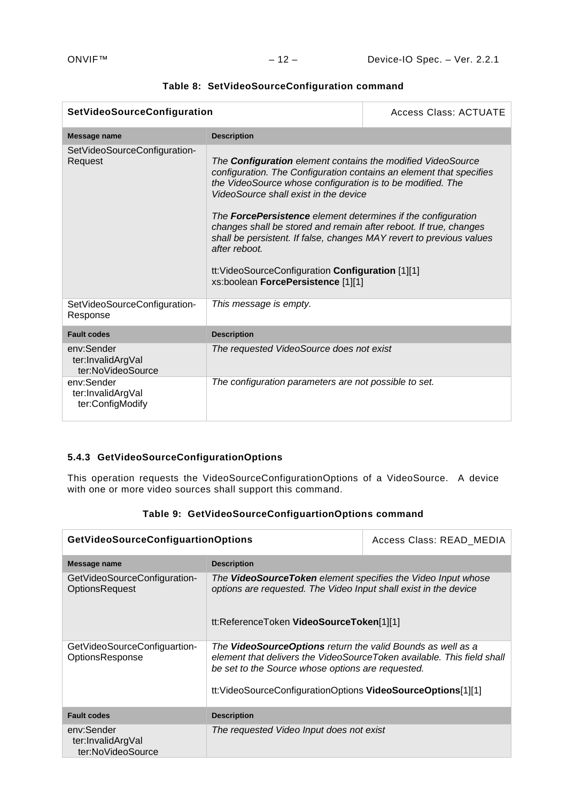| SetVideoSourceConfiguration                          |                                                                                                                                                                                                                                                                                                                                                                                                                                                                                                                                                                                  | Access Class: ACTUATE |
|------------------------------------------------------|----------------------------------------------------------------------------------------------------------------------------------------------------------------------------------------------------------------------------------------------------------------------------------------------------------------------------------------------------------------------------------------------------------------------------------------------------------------------------------------------------------------------------------------------------------------------------------|-----------------------|
| Message name                                         | <b>Description</b>                                                                                                                                                                                                                                                                                                                                                                                                                                                                                                                                                               |                       |
| SetVideoSourceConfiguration-<br>Request              | The <b>Configuration</b> element contains the modified VideoSource<br>configuration. The Configuration contains an element that specifies<br>the VideoSource whose configuration is to be modified. The<br>VideoSource shall exist in the device<br>The <b>ForcePersistence</b> element determines if the configuration<br>changes shall be stored and remain after reboot. If true, changes<br>shall be persistent. If false, changes MAY revert to previous values<br>after reboot.<br>tt: VideoSourceConfiguration Configuration [1][1]<br>xs:boolean ForcePersistence [1][1] |                       |
| SetVideoSourceConfiguration-<br>Response             | This message is empty.                                                                                                                                                                                                                                                                                                                                                                                                                                                                                                                                                           |                       |
| <b>Fault codes</b>                                   | <b>Description</b>                                                                                                                                                                                                                                                                                                                                                                                                                                                                                                                                                               |                       |
| env:Sender<br>ter:InvalidArgVal<br>ter:NoVideoSource | The requested VideoSource does not exist                                                                                                                                                                                                                                                                                                                                                                                                                                                                                                                                         |                       |
| env:Sender<br>ter:InvalidArgVal<br>ter:ConfigModify  | The configuration parameters are not possible to set.                                                                                                                                                                                                                                                                                                                                                                                                                                                                                                                            |                       |

## **Table 8: SetVideoSourceConfiguration command**

## <span id="page-11-0"></span>**5.4.3 GetVideoSourceConfigurationOptions**

This operation requests the VideoSourceConfigurationOptions of a VideoSource. A device with one or more video sources shall support this command.

| <b>GetVideoSourceConfiguartionOptions</b>             |                                                                                                                                                                                                                                                           | Access Class: READ MEDIA |
|-------------------------------------------------------|-----------------------------------------------------------------------------------------------------------------------------------------------------------------------------------------------------------------------------------------------------------|--------------------------|
| Message name                                          | <b>Description</b>                                                                                                                                                                                                                                        |                          |
| GetVideoSourceConfiguration-<br><b>OptionsRequest</b> | The <b>VideoSourceToken</b> element specifies the Video Input whose<br>options are requested. The Video Input shall exist in the device<br>tt:ReferenceToken VideoSourceToken[1][1]                                                                       |                          |
| GetVideoSourceConfiguartion-<br>OptionsResponse       | The VideoSourceOptions return the valid Bounds as well as a<br>element that delivers the VideoSourceToken available. This field shall<br>be set to the Source whose options are requested.<br>tt:VideoSourceConfigurationOptions VideoSourceOptions[1][1] |                          |
| <b>Fault codes</b>                                    | <b>Description</b>                                                                                                                                                                                                                                        |                          |
| env:Sender<br>ter:InvalidArgVal<br>ter:NoVideoSource  | The requested Video Input does not exist                                                                                                                                                                                                                  |                          |

**Table 9: GetVideoSourceConfiguartionOptions command**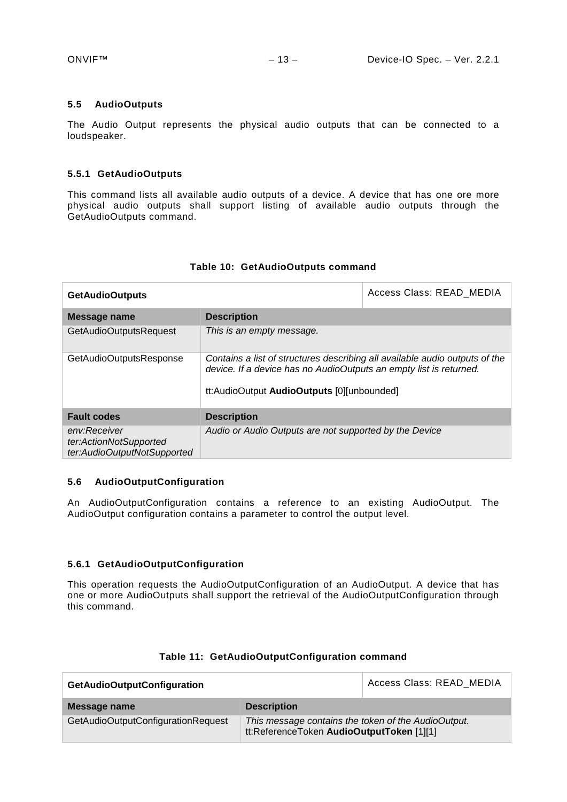#### <span id="page-12-0"></span>**5.5 AudioOutputs**

The Audio Output represents the physical audio outputs that can be connected to a loudspeaker.

#### <span id="page-12-1"></span>**5.5.1 GetAudioOutputs**

This command lists all available audio outputs of a device. A device that has one ore more physical audio outputs shall support listing of available audio outputs through the GetAudioOutputs command.

| <b>GetAudioOutputs</b>                 |                                                                                                                                                                                                 | Access Class: READ MEDIA |
|----------------------------------------|-------------------------------------------------------------------------------------------------------------------------------------------------------------------------------------------------|--------------------------|
| Message name                           | <b>Description</b>                                                                                                                                                                              |                          |
| GetAudioOutputsRequest                 | This is an empty message.                                                                                                                                                                       |                          |
| GetAudioOutputsResponse                | Contains a list of structures describing all available audio outputs of the<br>device. If a device has no AudioOutputs an empty list is returned.<br>tt:AudioOutput AudioOutputs [0][unbounded] |                          |
| <b>Fault codes</b>                     | <b>Description</b>                                                                                                                                                                              |                          |
| env:Receiver<br>ter:ActionNotSupported | Audio or Audio Outputs are not supported by the Device                                                                                                                                          |                          |

#### **Table 10: GetAudioOutputs command**

#### <span id="page-12-2"></span>**5.6 AudioOutputConfiguration**

*ter:AudioOutputNotSupported*

An AudioOutputConfiguration contains a reference to an existing AudioOutput. The AudioOutput configuration contains a parameter to control the output level.

#### <span id="page-12-3"></span>**5.6.1 GetAudioOutputConfiguration**

This operation requests the AudioOutputConfiguration of an AudioOutput. A device that has one or more AudioOutputs shall support the retrieval of the AudioOutputConfiguration through this command.

| <b>GetAudioOutputConfiguration</b> |                                                                                                  | Access Class: READ MEDIA |
|------------------------------------|--------------------------------------------------------------------------------------------------|--------------------------|
| Message name                       | <b>Description</b>                                                                               |                          |
| GetAudioOutputConfigurationRequest | This message contains the token of the AudioOutput.<br>tt:ReferenceToken AudioOutputToken [1][1] |                          |

#### **Table 11: GetAudioOutputConfiguration command**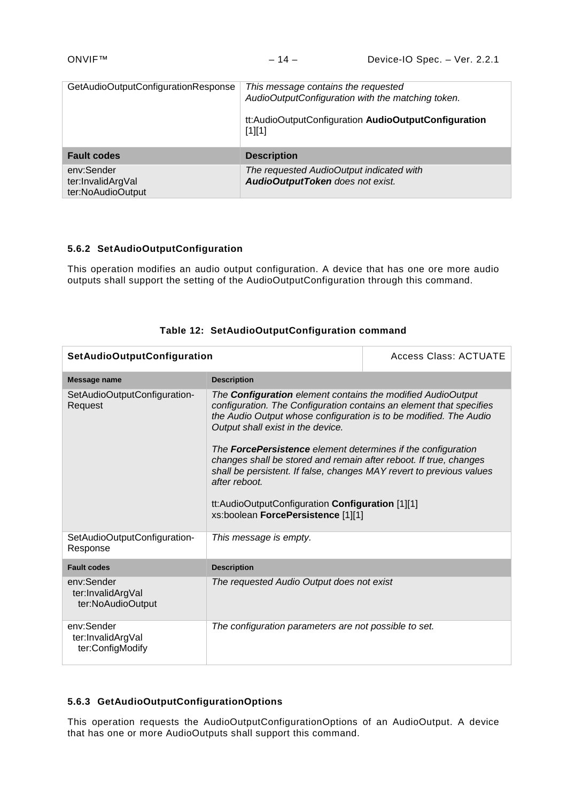| GetAudioOutputConfigurationResponse | This message contains the requested<br>AudioOutputConfiguration with the matching token.<br>tt:AudioOutputConfiguration AudioOutputConfiguration<br>$[1][1]$ |
|-------------------------------------|--------------------------------------------------------------------------------------------------------------------------------------------------------------|
| <b>Fault codes</b>                  | <b>Description</b>                                                                                                                                           |
| env:Sender<br>ter:InvalidArgVal     | The requested AudioOutput indicated with<br>AudioOutputToken does not exist.                                                                                 |

## <span id="page-13-0"></span>**5.6.2 SetAudioOutputConfiguration**

This operation modifies an audio output configuration. A device that has one ore more audio outputs shall support the setting of the AudioOutputConfiguration through this command.

| <b>SetAudioOutputConfiguration</b>                   |                                                                                                                                                                                                                                                                                                                                                                                                                                                                                                                                                                             | <b>Access Class: ACTUATE</b> |
|------------------------------------------------------|-----------------------------------------------------------------------------------------------------------------------------------------------------------------------------------------------------------------------------------------------------------------------------------------------------------------------------------------------------------------------------------------------------------------------------------------------------------------------------------------------------------------------------------------------------------------------------|------------------------------|
| Message name                                         | <b>Description</b>                                                                                                                                                                                                                                                                                                                                                                                                                                                                                                                                                          |                              |
| SetAudioOutputConfiguration-<br>Request              | The Configuration element contains the modified AudioOutput<br>configuration. The Configuration contains an element that specifies<br>the Audio Output whose configuration is to be modified. The Audio<br>Output shall exist in the device.<br>The <b>ForcePersistence</b> element determines if the configuration<br>changes shall be stored and remain after reboot. If true, changes<br>shall be persistent. If false, changes MAY revert to previous values<br>after reboot.<br>tt:AudioOutputConfiguration Configuration [1][1]<br>xs:boolean ForcePersistence [1][1] |                              |
| SetAudioOutputConfiguration-<br>Response             | This message is empty.                                                                                                                                                                                                                                                                                                                                                                                                                                                                                                                                                      |                              |
| <b>Fault codes</b>                                   | <b>Description</b>                                                                                                                                                                                                                                                                                                                                                                                                                                                                                                                                                          |                              |
| env:Sender<br>ter:InvalidArgVal<br>ter:NoAudioOutput | The requested Audio Output does not exist                                                                                                                                                                                                                                                                                                                                                                                                                                                                                                                                   |                              |
| env:Sender<br>ter:InvalidArgVal<br>ter:ConfigModify  | The configuration parameters are not possible to set.                                                                                                                                                                                                                                                                                                                                                                                                                                                                                                                       |                              |

## **Table 12: SetAudioOutputConfiguration command**

#### <span id="page-13-1"></span>**5.6.3 GetAudioOutputConfigurationOptions**

This operation requests the AudioOutputConfigurationOptions of an AudioOutput. A device that has one or more AudioOutputs shall support this command.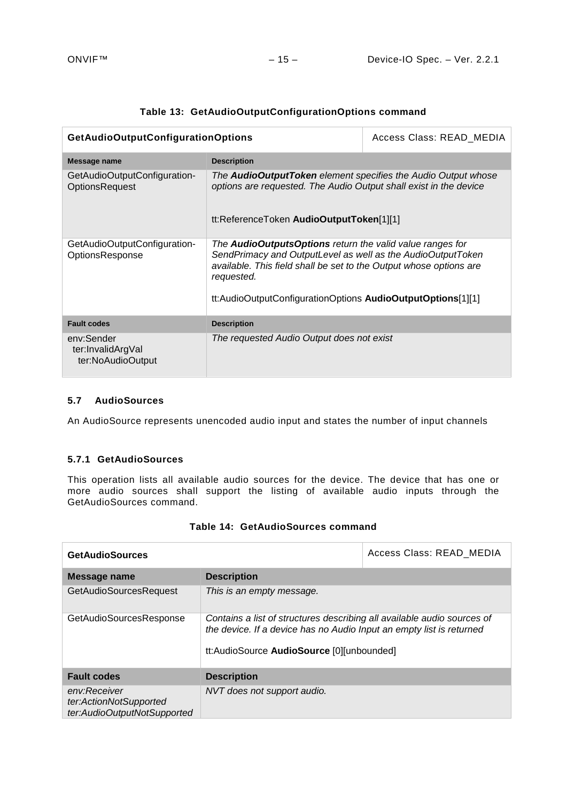| GetAudioOutputConfigurationOptions                     |                                                                                                                                                                                                                                                                                    | Access Class: READ MEDIA |
|--------------------------------------------------------|------------------------------------------------------------------------------------------------------------------------------------------------------------------------------------------------------------------------------------------------------------------------------------|--------------------------|
| Message name                                           | <b>Description</b>                                                                                                                                                                                                                                                                 |                          |
| GetAudioOutputConfiguration-<br><b>OptionsRequest</b>  | The <b>AudioOutputToken</b> element specifies the Audio Output whose<br>options are requested. The Audio Output shall exist in the device<br>tt:ReferenceToken AudioOutputToken[1][1]                                                                                              |                          |
|                                                        |                                                                                                                                                                                                                                                                                    |                          |
| GetAudioOutputConfiguration-<br><b>OptionsResponse</b> | The <b>AudioOutputsOptions</b> return the valid value ranges for<br>SendPrimacy and OutputLevel as well as the AudioOutputToken<br>available. This field shall be set to the Output whose options are<br>requested.<br>tt:AudioOutputConfigurationOptions AudioOutputOptions[1][1] |                          |
| <b>Fault codes</b>                                     | <b>Description</b>                                                                                                                                                                                                                                                                 |                          |
| env:Sender<br>ter:InvalidArgVal<br>ter:NoAudioOutput   | The requested Audio Output does not exist                                                                                                                                                                                                                                          |                          |

## **Table 13: GetAudioOutputConfigurationOptions command**

## <span id="page-14-0"></span>**5.7 AudioSources**

An AudioSource represents unencoded audio input and states the number of input channels

#### <span id="page-14-1"></span>**5.7.1 GetAudioSources**

This operation lists all available audio sources for the device. The device that has one or more audio sources shall support the listing of available audio inputs through the GetAudioSources command.

| <b>GetAudioSources</b>                                                |                                                                                                                                                                                              | Access Class: READ MEDIA |
|-----------------------------------------------------------------------|----------------------------------------------------------------------------------------------------------------------------------------------------------------------------------------------|--------------------------|
| Message name                                                          | <b>Description</b>                                                                                                                                                                           |                          |
| <b>GetAudioSourcesRequest</b>                                         | This is an empty message.                                                                                                                                                                    |                          |
| GetAudioSourcesResponse                                               | Contains a list of structures describing all available audio sources of<br>the device. If a device has no Audio Input an empty list is returned<br>tt:AudioSource AudioSource [0][unbounded] |                          |
| <b>Fault codes</b>                                                    | <b>Description</b>                                                                                                                                                                           |                          |
| env:Receiver<br>ter:ActionNotSupported<br>ter:AudioOutputNotSupported | NVT does not support audio.                                                                                                                                                                  |                          |

|  | Table 14: GetAudioSources command |  |
|--|-----------------------------------|--|
|--|-----------------------------------|--|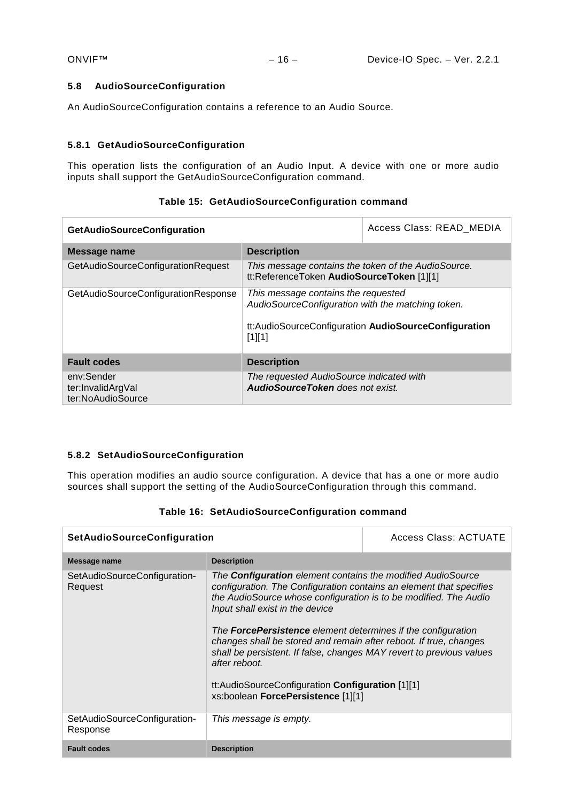## <span id="page-15-0"></span>**5.8 AudioSourceConfiguration**

An AudioSourceConfiguration contains a reference to an Audio Source.

#### <span id="page-15-1"></span>**5.8.1 GetAudioSourceConfiguration**

This operation lists the configuration of an Audio Input. A device with one or more audio inputs shall support the GetAudioSourceConfiguration command.

| <b>GetAudioSourceConfiguration</b>                   |                                                                                                                                                            | Access Class: READ MEDIA |
|------------------------------------------------------|------------------------------------------------------------------------------------------------------------------------------------------------------------|--------------------------|
| Message name                                         | <b>Description</b>                                                                                                                                         |                          |
| GetAudioSourceConfigurationRequest                   | This message contains the token of the AudioSource.<br>tt:ReferenceToken AudioSourceToken [1][1]                                                           |                          |
| GetAudioSourceConfigurationResponse                  | This message contains the requested<br>AudioSourceConfiguration with the matching token.<br>tt:AudioSourceConfiguration AudioSourceConfiguration<br>[1][1] |                          |
| <b>Fault codes</b>                                   | <b>Description</b>                                                                                                                                         |                          |
| env:Sender<br>ter:InvalidArgVal<br>ter:NoAudioSource | The requested AudioSource indicated with<br>AudioSourceToken does not exist.                                                                               |                          |

## **Table 15: GetAudioSourceConfiguration command**

## <span id="page-15-2"></span>**5.8.2 SetAudioSourceConfiguration**

This operation modifies an audio source configuration. A device that has a one or more audio sources shall support the setting of the AudioSourceConfiguration through this command.

| <b>SetAudioSourceConfiguration</b>       |                                                                                                                                                                                                                                                                                                                                                                                                                                                                                                                                                                                 | Access Class: ACTUATE |
|------------------------------------------|---------------------------------------------------------------------------------------------------------------------------------------------------------------------------------------------------------------------------------------------------------------------------------------------------------------------------------------------------------------------------------------------------------------------------------------------------------------------------------------------------------------------------------------------------------------------------------|-----------------------|
| Message name                             | <b>Description</b>                                                                                                                                                                                                                                                                                                                                                                                                                                                                                                                                                              |                       |
| SetAudioSourceConfiguration-<br>Request  | The <b>Configuration</b> element contains the modified AudioSource<br>configuration. The Configuration contains an element that specifies<br>the AudioSource whose configuration is to be modified. The Audio<br>Input shall exist in the device<br>The <b>ForcePersistence</b> element determines if the configuration<br>changes shall be stored and remain after reboot. If true, changes<br>shall be persistent. If false, changes MAY revert to previous values<br>after reboot.<br>tt:AudioSourceConfiguration Configuration [1][1]<br>xs:boolean ForcePersistence [1][1] |                       |
| SetAudioSourceConfiguration-<br>Response | This message is empty.                                                                                                                                                                                                                                                                                                                                                                                                                                                                                                                                                          |                       |
| <b>Fault codes</b>                       | <b>Description</b>                                                                                                                                                                                                                                                                                                                                                                                                                                                                                                                                                              |                       |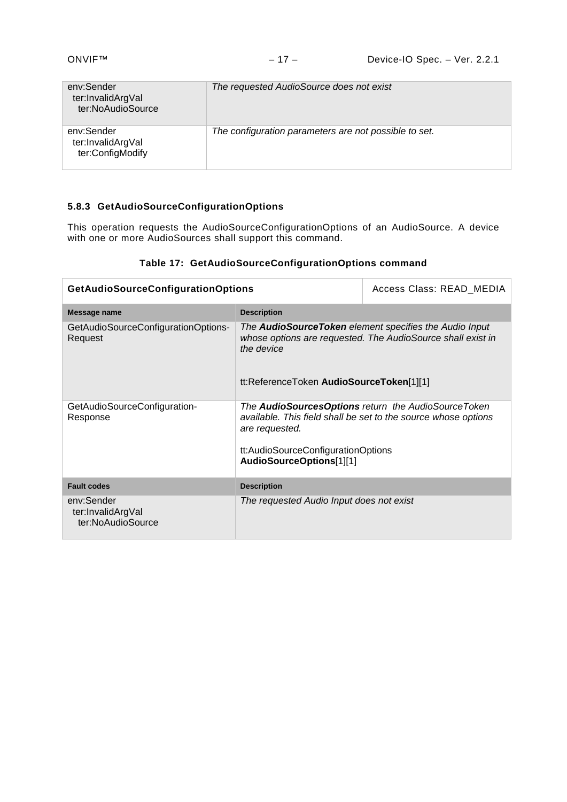| env:Sender<br>ter:InvalidArgVal<br>ter:NoAudioSource | The requested AudioSource does not exist              |
|------------------------------------------------------|-------------------------------------------------------|
| env:Sender<br>ter:InvalidArgVal<br>ter:ConfigModify  | The configuration parameters are not possible to set. |

## <span id="page-16-0"></span>**5.8.3 GetAudioSourceConfigurationOptions**

This operation requests the AudioSourceConfigurationOptions of an AudioSource. A device with one or more AudioSources shall support this command.

## **Table 17: GetAudioSourceConfigurationOptions command**

| <b>GetAudioSourceConfigurationOptions</b>            |                                                                                                                                                                                                           | Access Class: READ MEDIA |
|------------------------------------------------------|-----------------------------------------------------------------------------------------------------------------------------------------------------------------------------------------------------------|--------------------------|
| Message name                                         | <b>Description</b>                                                                                                                                                                                        |                          |
| GetAudioSourceConfigurationOptions-<br>Request       | The <b>AudioSourceToken</b> element specifies the Audio Input<br>whose options are requested. The AudioSource shall exist in<br>the device<br>tt:ReferenceToken AudioSourceToken[1][1]                    |                          |
| GetAudioSourceConfiguration-<br>Response             | The AudioSourcesOptions return the AudioSourceToken<br>available. This field shall be set to the source whose options<br>are requested.<br>tt:AudioSourceConfigurationOptions<br>AudioSourceOptions[1][1] |                          |
| <b>Fault codes</b>                                   | <b>Description</b>                                                                                                                                                                                        |                          |
| env:Sender<br>ter:InvalidArgVal<br>ter:NoAudioSource | The requested Audio Input does not exist                                                                                                                                                                  |                          |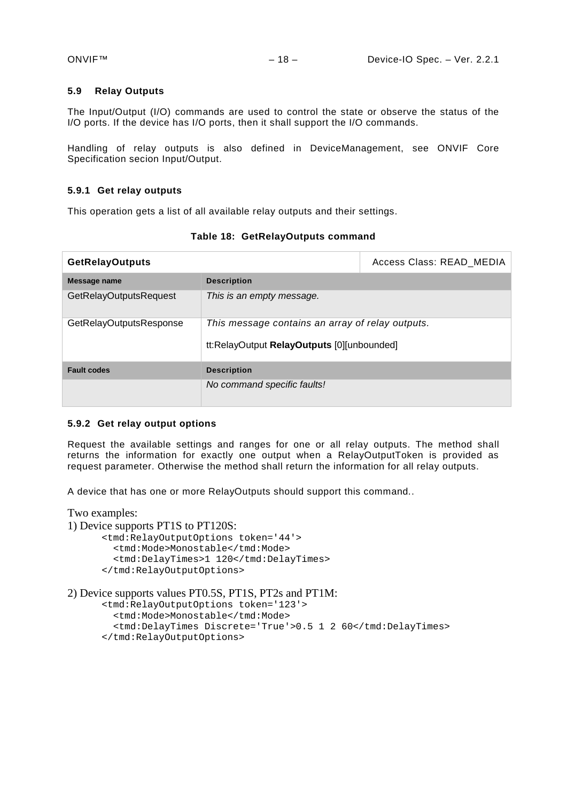#### <span id="page-17-0"></span>**5.9 Relay Outputs**

The Input/Output (I/O) commands are used to control the state or observe the status of the I/O ports. If the device has I/O ports, then it shall support the I/O commands.

Handling of relay outputs is also defined in DeviceManagement, see ONVIF Core Specification secion Input/Output.

#### <span id="page-17-1"></span>**5.9.1 Get relay outputs**

This operation gets a list of all available relay outputs and their settings.

| <b>GetRelayOutputs</b>        |                                                                                                | Access Class: READ_MEDIA |
|-------------------------------|------------------------------------------------------------------------------------------------|--------------------------|
| Message name                  | <b>Description</b>                                                                             |                          |
| <b>GetRelayOutputsRequest</b> | This is an empty message.                                                                      |                          |
| GetRelayOutputsResponse       | This message contains an array of relay outputs.<br>tt:RelayOutput RelayOutputs [0][unbounded] |                          |
| <b>Fault codes</b>            | <b>Description</b>                                                                             |                          |
|                               | No command specific faults!                                                                    |                          |

**Table 18: GetRelayOutputs command**

#### <span id="page-17-2"></span>**5.9.2 Get relay output options**

Request the available settings and ranges for one or all relay outputs. The method shall returns the information for exactly one output when a RelayOutputToken is provided as request parameter. Otherwise the method shall return the information for all relay outputs.

A device that has one or more RelayOutputs should support this command..

Two examples:

1) Device supports PT1S to PT120S:

```
<tmd:RelayOutputOptions token='44'>
   <tmd:Mode>Monostable</tmd:Mode>
   <tmd:DelayTimes>1 120</tmd:DelayTimes>
</tmd:RelayOutputOptions>
```

```
2) Device supports values PT0.5S, PT1S, PT2s and PT1M:
```
<tmd:RelayOutputOptions token='123'>

- <tmd:Mode>Monostable</tmd:Mode>
- <tmd:DelayTimes Discrete='True'>0.5 1 2 60</tmd:DelayTimes>
- </tmd:RelayOutputOptions>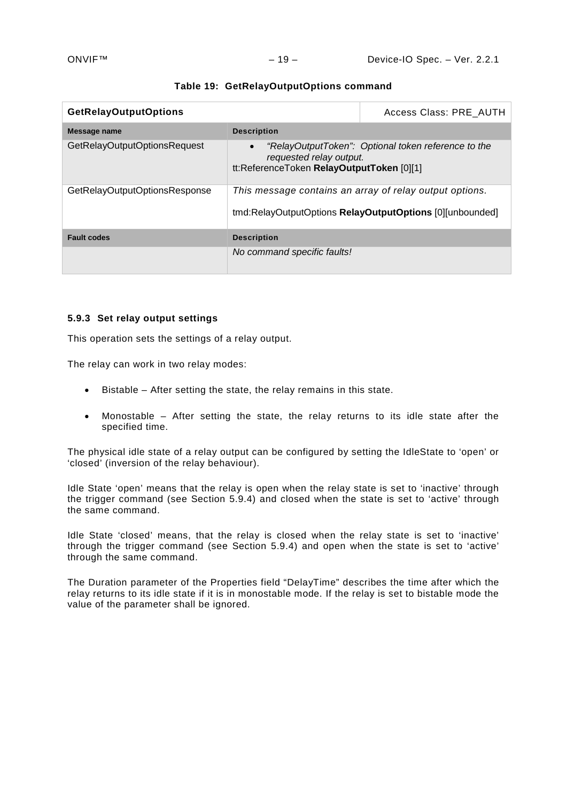| <b>GetRelayOutputOptions</b>  |                                                                                   | Access Class: PRE AUTH                                                                                              |
|-------------------------------|-----------------------------------------------------------------------------------|---------------------------------------------------------------------------------------------------------------------|
| Message name                  | <b>Description</b>                                                                |                                                                                                                     |
| GetRelayOutputOptionsRequest  | $\bullet$<br>requested relay output.<br>tt:ReferenceToken RelayOutputToken [0][1] | "RelayOutputToken": Optional token reference to the                                                                 |
| GetRelayOutputOptionsResponse |                                                                                   | This message contains an array of relay output options.<br>tmd:RelayOutputOptions RelayOutputOptions [0][unbounded] |
| <b>Fault codes</b>            | <b>Description</b>                                                                |                                                                                                                     |
|                               | No command specific faults!                                                       |                                                                                                                     |

#### **Table 19: GetRelayOutputOptions command**

#### <span id="page-18-0"></span>**5.9.3 Set relay output settings**

This operation sets the settings of a relay output.

The relay can work in two relay modes:

- Bistable After setting the state, the relay remains in this state.
- Monostable After setting the state, the relay returns to its idle state after the specified time.

The physical idle state of a relay output can be configured by setting the IdleState to 'open' or 'closed' (inversion of the relay behaviour).

Idle State 'open' means that the relay is open when the relay state is set to 'inactive' through the trigger command (see Section [5.9.4\)](#page-19-0) and closed when the state is set to 'active' through the same command.

Idle State 'closed' means, that the relay is closed when the relay state is set to 'inactive' through the trigger command (see Section [5.9.4\)](#page-19-0) and open when the state is set to 'active' through the same command.

The Duration parameter of the Properties field "DelayTime" describes the time after which the relay returns to its idle state if it is in monostable mode. If the relay is set to bistable mode the value of the parameter shall be ignored.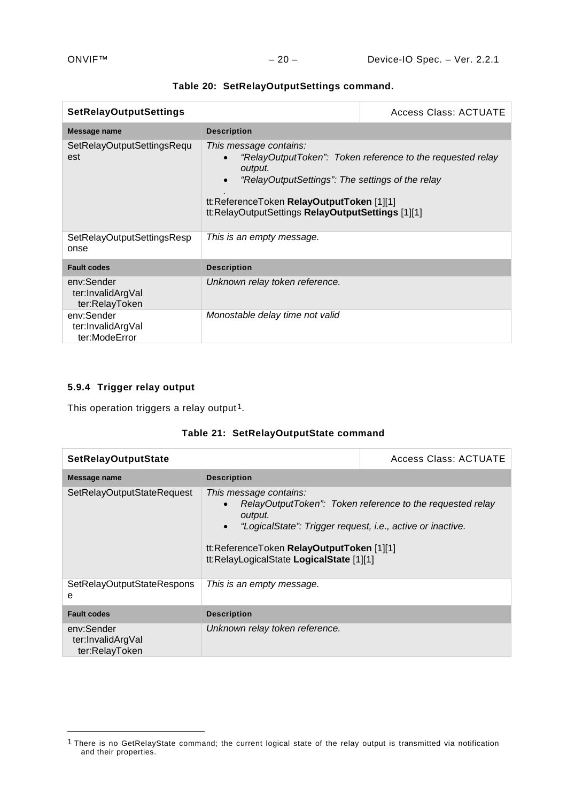| <b>SetRelayOutputSettings</b>                     |                                                                                                                                                                                         | <b>Access Class: ACTUATE</b>                               |
|---------------------------------------------------|-----------------------------------------------------------------------------------------------------------------------------------------------------------------------------------------|------------------------------------------------------------|
| Message name                                      | <b>Description</b>                                                                                                                                                                      |                                                            |
| SetRelayOutputSettingsRequ<br>est                 | This message contains:<br>output.<br>"RelayOutputSettings": The settings of the relay<br>tt:ReferenceToken RelayOutputToken [1][1]<br>tt:RelayOutputSettings RelayOutputSettings [1][1] | "RelayOutputToken": Token reference to the requested relay |
| SetRelayOutputSettingsResp<br>onse                | This is an empty message.                                                                                                                                                               |                                                            |
| <b>Fault codes</b>                                | <b>Description</b>                                                                                                                                                                      |                                                            |
| env:Sender<br>ter:InvalidArgVal<br>ter:RelayToken | Unknown relay token reference.                                                                                                                                                          |                                                            |
| env:Sender<br>ter:InvalidArgVal<br>ter:ModeError  | Monostable delay time not valid                                                                                                                                                         |                                                            |

|  | Table 20: SetRelayOutputSettings command. |  |
|--|-------------------------------------------|--|
|--|-------------------------------------------|--|

# <span id="page-19-0"></span>**5.9.4 Trigger relay output**

-

This operation triggers a relay output<sup>1</sup>.

|  | Table 21: SetRelayOutputState command |
|--|---------------------------------------|
|--|---------------------------------------|

| <b>SetRelayOutputState</b>                        |                                                                                                                                                                                                       | <b>Access Class: ACTUATE</b>                              |
|---------------------------------------------------|-------------------------------------------------------------------------------------------------------------------------------------------------------------------------------------------------------|-----------------------------------------------------------|
| Message name                                      | <b>Description</b>                                                                                                                                                                                    |                                                           |
| SetRelayOutputStateRequest                        | This message contains:<br>output.<br>"LogicalState": Trigger request, i.e., active or inactive.<br>$\bullet$<br>tt:ReferenceToken RelayOutputToken [1][1]<br>tt:RelayLogicalState LogicalState [1][1] | RelayOutputToken": Token reference to the requested relay |
| SetRelayOutputStateRespons<br>e                   | This is an empty message.                                                                                                                                                                             |                                                           |
| <b>Fault codes</b>                                | <b>Description</b>                                                                                                                                                                                    |                                                           |
| env:Sender<br>ter:InvalidArgVal<br>ter:RelayToken | Unknown relay token reference.                                                                                                                                                                        |                                                           |

<span id="page-19-1"></span><sup>&</sup>lt;sup>1</sup> There is no GetRelayState command; the current logical state of the relay output is transmitted via notification and their properties.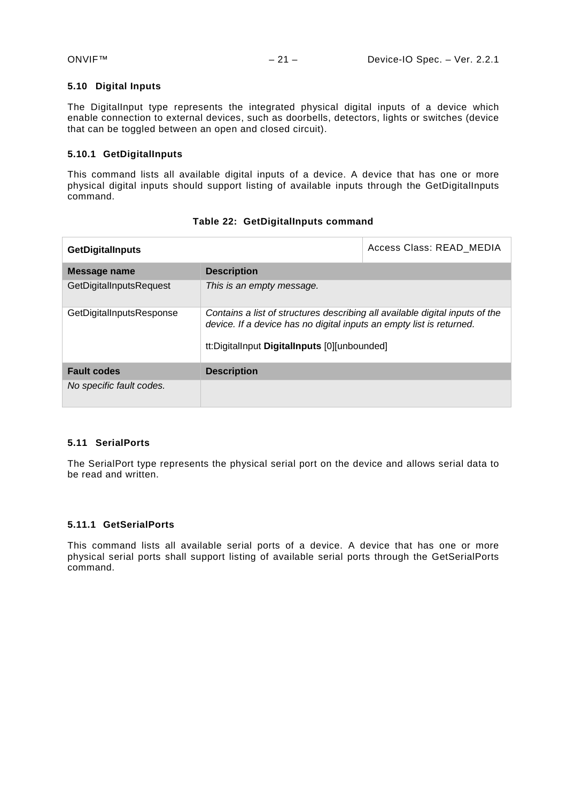## <span id="page-20-0"></span>**5.10 Digital Inputs**

The DigitalInput type represents the integrated physical digital inputs of a device which enable connection to external devices, such as doorbells, detectors, lights or switches (device that can be toggled between an open and closed circuit).

## <span id="page-20-1"></span>**5.10.1 GetDigitalInputs**

This command lists all available digital inputs of a device. A device that has one or more physical digital inputs should support listing of available inputs through the GetDigitalInputs command.

| <b>GetDigitalInputs</b>  |                                                                                                                                                                                                      | Access Class: READ MEDIA |
|--------------------------|------------------------------------------------------------------------------------------------------------------------------------------------------------------------------------------------------|--------------------------|
| Message name             | <b>Description</b>                                                                                                                                                                                   |                          |
| GetDigitalInputsRequest  | This is an empty message.                                                                                                                                                                            |                          |
| GetDigitalInputsResponse | Contains a list of structures describing all available digital inputs of the<br>device. If a device has no digital inputs an empty list is returned.<br>tt:DigitalInput DigitalInputs [0][unbounded] |                          |
| <b>Fault codes</b>       | <b>Description</b>                                                                                                                                                                                   |                          |
| No specific fault codes. |                                                                                                                                                                                                      |                          |

#### **Table 22: GetDigitalInputs command**

## <span id="page-20-2"></span>**5.11 SerialPorts**

The SerialPort type represents the physical serial port on the device and allows serial data to be read and written.

## <span id="page-20-3"></span>**5.11.1 GetSerialPorts**

This command lists all available serial ports of a device. A device that has one or more physical serial ports shall support listing of available serial ports through the GetSerialPorts command.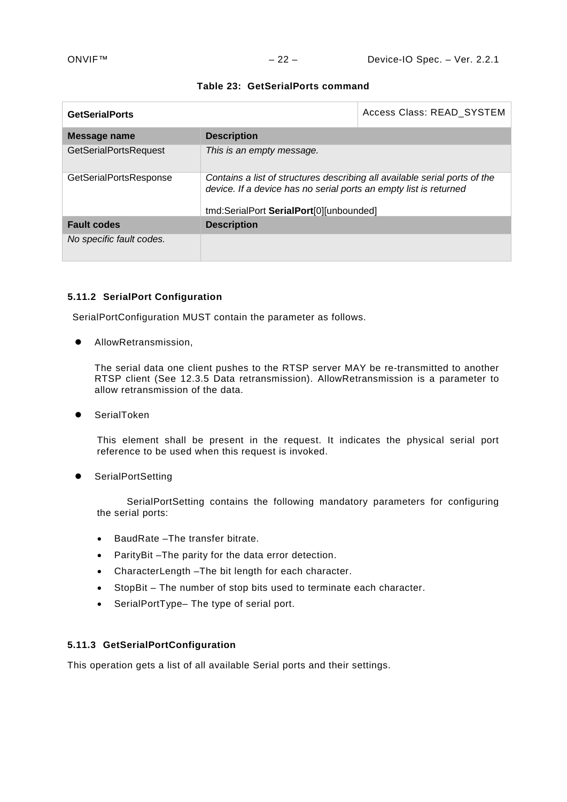| <b>GetSerialPorts</b>        |                                                                                                                                                 | Access Class: READ_SYSTEM |
|------------------------------|-------------------------------------------------------------------------------------------------------------------------------------------------|---------------------------|
| Message name                 | <b>Description</b>                                                                                                                              |                           |
| <b>GetSerialPortsRequest</b> | This is an empty message.                                                                                                                       |                           |
| GetSerialPortsResponse       | Contains a list of structures describing all available serial ports of the<br>device. If a device has no serial ports an empty list is returned |                           |
|                              | tmd:SerialPort SerialPort[0][unbounded]                                                                                                         |                           |
| <b>Fault codes</b>           | <b>Description</b>                                                                                                                              |                           |
| No specific fault codes.     |                                                                                                                                                 |                           |

#### **Table 23: GetSerialPorts command**

#### <span id="page-21-0"></span>**5.11.2 SerialPort Configuration**

SerialPortConfiguration MUST contain the parameter as follows.

AllowRetransmission,

The serial data one client pushes to the RTSP server MAY be re-transmitted to another RTSP client (See 12.3.5 Data retransmission). AllowRetransmission is a parameter to allow retransmission of the data.

SerialToken

This element shall be present in the request. It indicates the physical serial port reference to be used when this request is invoked.

**•** SerialPortSetting

SerialPortSetting contains the following mandatory parameters for configuring the serial ports:

- BaudRate –The transfer bitrate.
- ParityBit –The parity for the data error detection.
- CharacterLength –The bit length for each character.
- StopBit The number of stop bits used to terminate each character.
- SerialPortType– The type of serial port.

## <span id="page-21-1"></span>**5.11.3 GetSerialPortConfiguration**

This operation gets a list of all available Serial ports and their settings.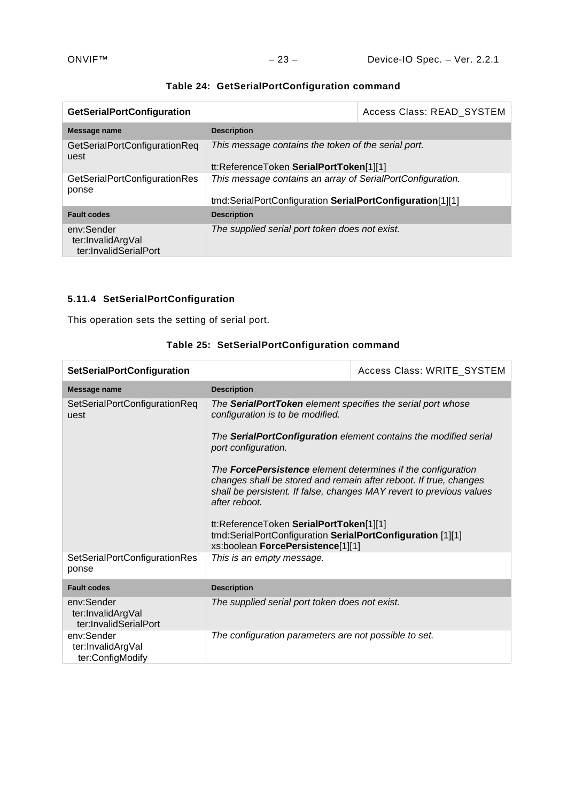| <b>GetSerialPortConfiguration</b>                        |                                                            | Access Class: READ_SYSTEM |
|----------------------------------------------------------|------------------------------------------------------------|---------------------------|
| Message name                                             | <b>Description</b>                                         |                           |
| GetSerialPortConfigurationReq<br>uest                    | This message contains the token of the serial port.        |                           |
|                                                          | tt:ReferenceToken SerialPortToken[1][1]                    |                           |
| <b>GetSerialPortConfigurationRes</b><br>ponse            | This message contains an array of SerialPortConfiguration. |                           |
|                                                          | tmd:SerialPortConfiguration SerialPortConfiguration[1][1]  |                           |
| <b>Fault codes</b>                                       | <b>Description</b>                                         |                           |
| env:Sender<br>ter:InvalidArgVal<br>ter:InvalidSerialPort | The supplied serial port token does not exist.             |                           |

# **Table 24: GetSerialPortConfiguration command**

# <span id="page-22-0"></span>**5.11.4 SetSerialPortConfiguration**

This operation sets the setting of serial port.

| <b>SetSerialPortConfiguration</b>                        |                                                                                                                                                                                                                                   | Access Class: WRITE_SYSTEM |
|----------------------------------------------------------|-----------------------------------------------------------------------------------------------------------------------------------------------------------------------------------------------------------------------------------|----------------------------|
| Message name                                             | <b>Description</b>                                                                                                                                                                                                                |                            |
| SetSerialPortConfigurationReq<br>uest                    | The SerialPortToken element specifies the serial port whose<br>configuration is to be modified.                                                                                                                                   |                            |
|                                                          | The SerialPortConfiguration element contains the modified serial<br>port configuration.                                                                                                                                           |                            |
|                                                          | The <b>ForcePersistence</b> element determines if the configuration<br>changes shall be stored and remain after reboot. If true, changes<br>shall be persistent. If false, changes MAY revert to previous values<br>after reboot. |                            |
|                                                          | tt:ReferenceToken SerialPortToken[1][1]<br>tmd:SerialPortConfiguration SerialPortConfiguration [1][1]<br>xs:boolean ForcePersistence[1][1]                                                                                        |                            |
| SetSerialPortConfigurationRes<br>ponse                   | This is an empty message.                                                                                                                                                                                                         |                            |
| <b>Fault codes</b>                                       | <b>Description</b>                                                                                                                                                                                                                |                            |
| env:Sender<br>ter:InvalidArgVal<br>ter:InvalidSerialPort | The supplied serial port token does not exist.                                                                                                                                                                                    |                            |
| env:Sender<br>ter:InvalidArgVal<br>ter:ConfigModify      | The configuration parameters are not possible to set.                                                                                                                                                                             |                            |

# **Table 25: SetSerialPortConfiguration command**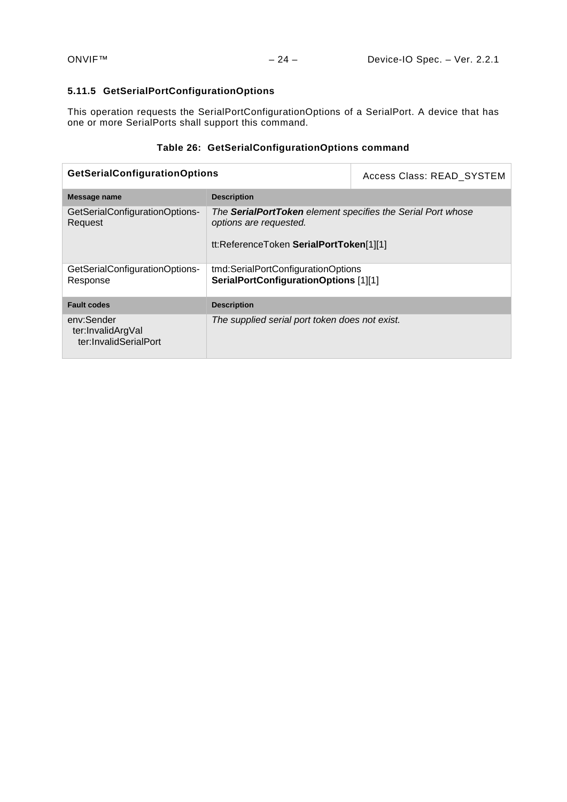## <span id="page-23-0"></span>**5.11.5 GetSerialPortConfigurationOptions**

This operation requests the SerialPortConfigurationOptions of a SerialPort. A device that has one or more SerialPorts shall support this command.

## **Table 26: GetSerialConfigurationOptions command**

| <b>GetSerialConfigurationOptions</b>                     |                                                                                                                                  | Access Class: READ SYSTEM |
|----------------------------------------------------------|----------------------------------------------------------------------------------------------------------------------------------|---------------------------|
| Message name                                             | <b>Description</b>                                                                                                               |                           |
| GetSerialConfigurationOptions-<br>Request                | The SerialPortToken element specifies the Serial Port whose<br>options are requested.<br>tt:ReferenceToken SerialPortToken[1][1] |                           |
| GetSerialConfigurationOptions-<br>Response               | tmd:SerialPortConfigurationOptions<br>SerialPortConfigurationOptions [1][1]                                                      |                           |
| <b>Fault codes</b>                                       | <b>Description</b>                                                                                                               |                           |
| env:Sender<br>ter:InvalidArgVal<br>ter:InvalidSerialPort | The supplied serial port token does not exist.                                                                                   |                           |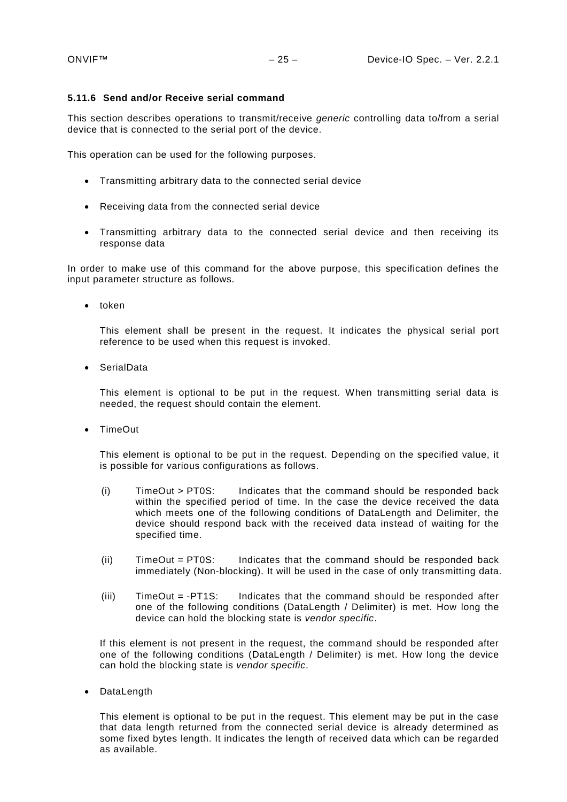#### <span id="page-24-0"></span>**5.11.6 Send and/or Receive serial command**

This section describes operations to transmit/receive *generic* controlling data to/from a serial device that is connected to the serial port of the device.

This operation can be used for the following purposes.

- Transmitting arbitrary data to the connected serial device
- Receiving data from the connected serial device
- Transmitting arbitrary data to the connected serial device and then receiving its response data

In order to make use of this command for the above purpose, this specification defines the input parameter structure as follows.

• token

This element shall be present in the request. It indicates the physical serial port reference to be used when this request is invoked.

• SerialData

This element is optional to be put in the request. When transmitting serial data is needed, the request should contain the element.

• TimeOut

This element is optional to be put in the request. Depending on the specified value, it is possible for various configurations as follows.

- (i) TimeOut > PT0S: Indicates that the command should be responded back within the specified period of time. In the case the device received the data which meets one of the following conditions of DataLength and Delimiter, the device should respond back with the received data instead of waiting for the specified time.
- (ii) TimeOut = PT0S: Indicates that the command should be responded back immediately (Non-blocking). It will be used in the case of only transmitting data.
- (iii) TimeOut = -PT1S: Indicates that the command should be responded after one of the following conditions (DataLength / Delimiter) is met. How long the device can hold the blocking state is *vendor specific*.

If this element is not present in the request, the command should be responded after one of the following conditions (DataLength / Delimiter) is met. How long the device can hold the blocking state is *vendor specific*.

• DataLength

This element is optional to be put in the request. This element may be put in the case that data length returned from the connected serial device is already determined as some fixed bytes length. It indicates the length of received data which can be regarded as available.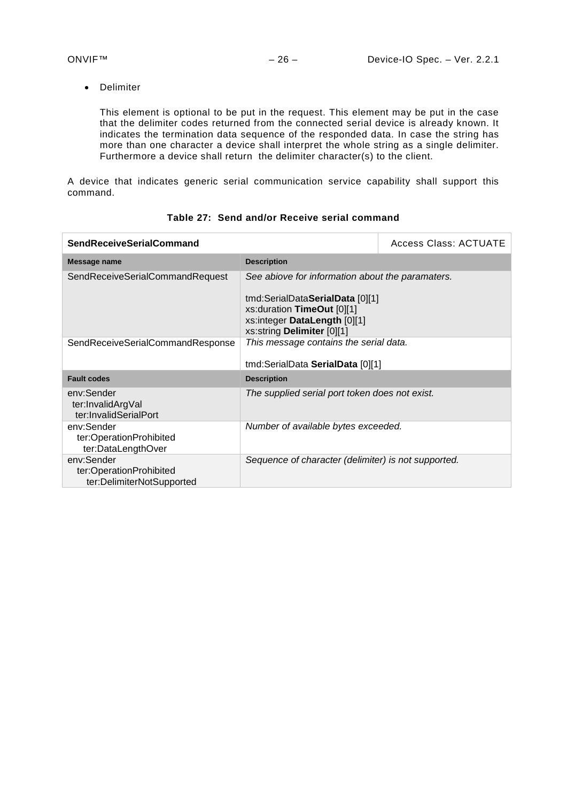• Delimiter

This element is optional to be put in the request. This element may be put in the case that the delimiter codes returned from the connected serial device is already known. It indicates the termination data sequence of the responded data. In case the string has more than one character a device shall interpret the whole string as a single delimiter. Furthermore a device shall return the delimiter character(s) to the client.

A device that indicates generic serial communication service capability shall support this command.

| <b>SendReceiveSerialCommand</b>                                    |                                                                                                                                                           | <b>Access Class: ACTUATE</b> |
|--------------------------------------------------------------------|-----------------------------------------------------------------------------------------------------------------------------------------------------------|------------------------------|
| Message name                                                       | <b>Description</b>                                                                                                                                        |                              |
| SendReceiveSerialCommandRequest                                    | See abiove for information about the paramaters.<br>tmd:SerialData <b>SerialData</b> [0][1]<br>xs:duration TimeOut [0][1]<br>xs:integer DataLength [0][1] |                              |
| SendReceiveSerialCommandResponse                                   | xs:string Delimiter [0][1]<br>This message contains the serial data.                                                                                      |                              |
|                                                                    | tmd:SerialData SerialData [0][1]                                                                                                                          |                              |
| <b>Fault codes</b>                                                 | <b>Description</b>                                                                                                                                        |                              |
| env:Sender<br>ter:InvalidArgVal<br>ter:InvalidSerialPort           | The supplied serial port token does not exist.                                                                                                            |                              |
| env:Sender<br>ter:OperationProhibited<br>ter:DataLengthOver        | Number of available bytes exceeded.                                                                                                                       |                              |
| env:Sender<br>ter:OperationProhibited<br>ter:DelimiterNotSupported | Sequence of character (delimiter) is not supported.                                                                                                       |                              |

## **Table 27: Send and/or Receive serial command**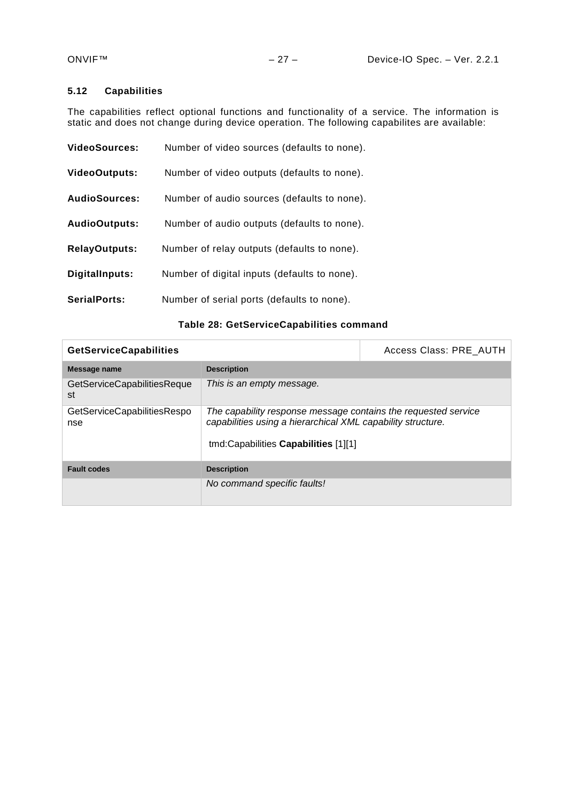## <span id="page-26-0"></span>**5.12 Capabilities**

The capabilities reflect optional functions and functionality of a service. The information is static and does not change during device operation. The following capabilites are available:

| VideoSources:        | Number of video sources (defaults to none).  |
|----------------------|----------------------------------------------|
| <b>VideoOutputs:</b> | Number of video outputs (defaults to none).  |
| <b>AudioSources:</b> | Number of audio sources (defaults to none).  |
| <b>AudioOutputs:</b> | Number of audio outputs (defaults to none).  |
| <b>RelayOutputs:</b> | Number of relay outputs (defaults to none).  |
| DigitalInputs:       | Number of digital inputs (defaults to none). |
| SerialPorts:         | Number of serial ports (defaults to none).   |

## **Table 28: GetServiceCapabilities command**

| <b>GetServiceCapabilities</b>      |                                                                                                                                                                       | Access Class: PRE AUTH |
|------------------------------------|-----------------------------------------------------------------------------------------------------------------------------------------------------------------------|------------------------|
| Message name                       | <b>Description</b>                                                                                                                                                    |                        |
| GetServiceCapabilitiesReque<br>st  | This is an empty message.                                                                                                                                             |                        |
| GetServiceCapabilitiesRespo<br>nse | The capability response message contains the requested service<br>capabilities using a hierarchical XML capability structure.<br>tmd:Capabilities Capabilities [1][1] |                        |
| <b>Fault codes</b>                 | <b>Description</b>                                                                                                                                                    |                        |
|                                    | No command specific faults!                                                                                                                                           |                        |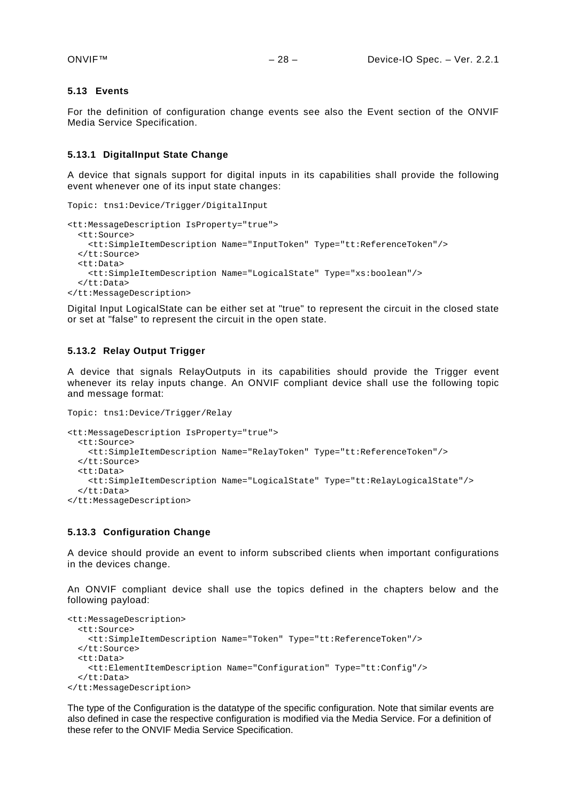#### <span id="page-27-0"></span>**5.13 Events**

For the definition of configuration change events see also the Event section of the ONVIF Media Service Specification.

#### <span id="page-27-1"></span>**5.13.1 DigitalInput State Change**

A device that signals support for digital inputs in its capabilities shall provide the following event whenever one of its input state changes:

```
Topic: tns1:Device/Trigger/DigitalInput
<tt:MessageDescription IsProperty="true">
   <tt:Source>
    <tt:SimpleItemDescription Name="InputToken" Type="tt:ReferenceToken"/>
   </tt:Source>
   <tt:Data>
     <tt:SimpleItemDescription Name="LogicalState" Type="xs:boolean"/>
   </tt:Data>
</tt:MessageDescription>
```
Digital Input LogicalState can be either set at "true" to represent the circuit in the closed state or set at "false" to represent the circuit in the open state.

#### <span id="page-27-2"></span>**5.13.2 Relay Output Trigger**

A device that signals RelayOutputs in its capabilities should provide the Trigger event whenever its relay inputs change. An ONVIF compliant device shall use the following topic and message format:

```
Topic: tns1:Device/Trigger/Relay
<tt:MessageDescription IsProperty="true">
   <tt:Source>
     <tt:SimpleItemDescription Name="RelayToken" Type="tt:ReferenceToken"/>
   </tt:Source>
   <tt:Data>
     <tt:SimpleItemDescription Name="LogicalState" Type="tt:RelayLogicalState"/>
   </tt:Data>
</tt:MessageDescription>
```
#### <span id="page-27-3"></span>**5.13.3 Configuration Change**

A device should provide an event to inform subscribed clients when important configurations in the devices change.

An ONVIF compliant device shall use the topics defined in the chapters below and the following payload:

```
<tt:MessageDescription>
  <tt:Source>
    <tt:SimpleItemDescription Name="Token" Type="tt:ReferenceToken"/>
   </tt:Source>
   <tt:Data>
     <tt:ElementItemDescription Name="Configuration" Type="tt:Config"/>
   </tt:Data>
</tt:MessageDescription>
```
The type of the Configuration is the datatype of the specific configuration. Note that similar events are also defined in case the respective configuration is modified via the Media Service. For a definition of these refer to the ONVIF Media Service Specification.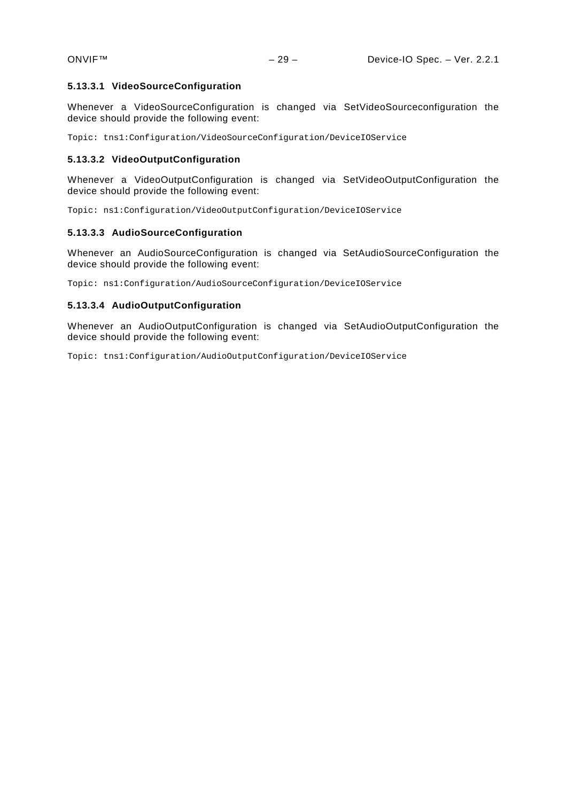#### **5.13.3.1 VideoSourceConfiguration**

Whenever a VideoSourceConfiguration is changed via SetVideoSourceconfiguration the device should provide the following event:

Topic: tns1:Configuration/VideoSourceConfiguration/DeviceIOService

#### **5.13.3.2 VideoOutputConfiguration**

Whenever a VideoOutputConfiguration is changed via SetVideoOutputConfiguration the device should provide the following event:

Topic: ns1:Configuration/VideoOutputConfiguration/DeviceIOService

#### **5.13.3.3 AudioSourceConfiguration**

Whenever an AudioSourceConfiguration is changed via SetAudioSourceConfiguration the device should provide the following event:

Topic: ns1:Configuration/AudioSourceConfiguration/DeviceIOService

#### **5.13.3.4 AudioOutputConfiguration**

Whenever an AudioOutputConfiguration is changed via SetAudioOutputConfiguration the device should provide the following event:

Topic: tns1:Configuration/AudioOutputConfiguration/DeviceIOService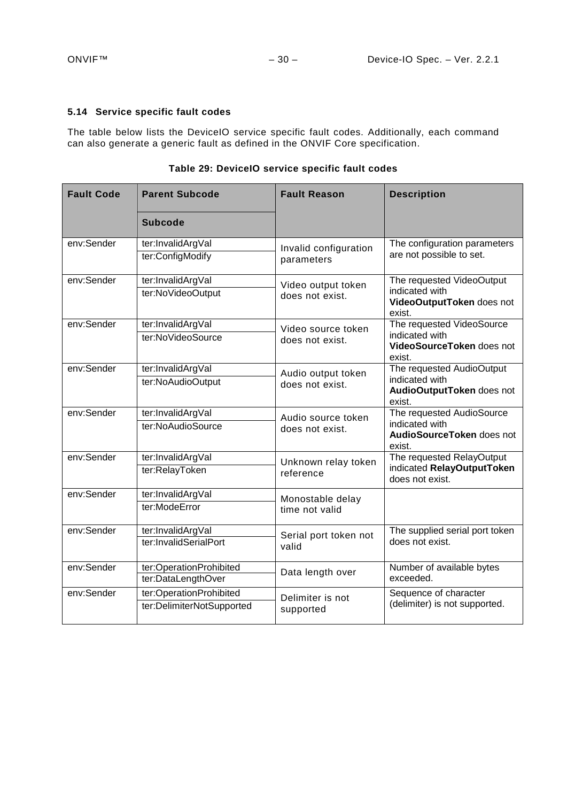## <span id="page-29-0"></span>**5.14 Service specific fault codes**

The table below lists the DeviceIO service specific fault codes. Additionally, each command can also generate a generic fault as defined in the ONVIF Core specification.

| <b>Fault Code</b>                     | <b>Parent Subcode</b>     | <b>Fault Reason</b>                   | <b>Description</b>                                    |
|---------------------------------------|---------------------------|---------------------------------------|-------------------------------------------------------|
|                                       | <b>Subcode</b>            |                                       |                                                       |
| env:Sender                            | ter:InvalidArgVal         | Invalid configuration                 | The configuration parameters                          |
|                                       | ter:ConfigModify          | parameters                            | are not possible to set.                              |
| env:Sender                            | ter:InvalidArgVal         | Video output token                    | The requested VideoOutput                             |
|                                       | ter:NoVideoOutput         | does not exist.                       | indicated with<br>VideoOutputToken does not<br>exist. |
| env:Sender                            | ter:InvalidArgVal         | Video source token                    | The requested VideoSource                             |
|                                       | ter:NoVideoSource         | does not exist.                       | indicated with<br>VideoSourceToken does not<br>exist. |
| env:Sender                            | ter:InvalidArgVal         | Audio output token<br>does not exist. | The requested AudioOutput                             |
|                                       | ter:NoAudioOutput         |                                       | indicated with<br>AudioOutputToken does not<br>exist. |
| env:Sender                            | ter:InvalidArgVal         | Audio source token                    | The requested AudioSource                             |
|                                       | ter:NoAudioSource         | does not exist.                       | indicated with<br>AudioSourceToken does not<br>exist. |
| env:Sender                            | ter:InvalidArgVal         | Unknown relay token                   | The requested RelayOutput                             |
|                                       | ter:RelayToken            | reference                             | indicated RelayOutputToken<br>does not exist.         |
| env:Sender                            | ter:InvalidArgVal         | Monostable delay                      |                                                       |
|                                       | ter:ModeError             | time not valid                        |                                                       |
| env:Sender                            | ter:InvalidArgVal         | Serial port token not                 | The supplied serial port token                        |
|                                       | ter:InvalidSerialPort     | valid                                 | does not exist.                                       |
| env:Sender<br>ter:OperationProhibited |                           | Data length over                      | Number of available bytes                             |
|                                       | ter:DataLengthOver        |                                       | exceeded.                                             |
| env:Sender                            | ter:OperationProhibited   | Delimiter is not                      | Sequence of character                                 |
|                                       | ter:DelimiterNotSupported | supported                             | (delimiter) is not supported.                         |

**Table 29: DeviceIO service specific fault codes**